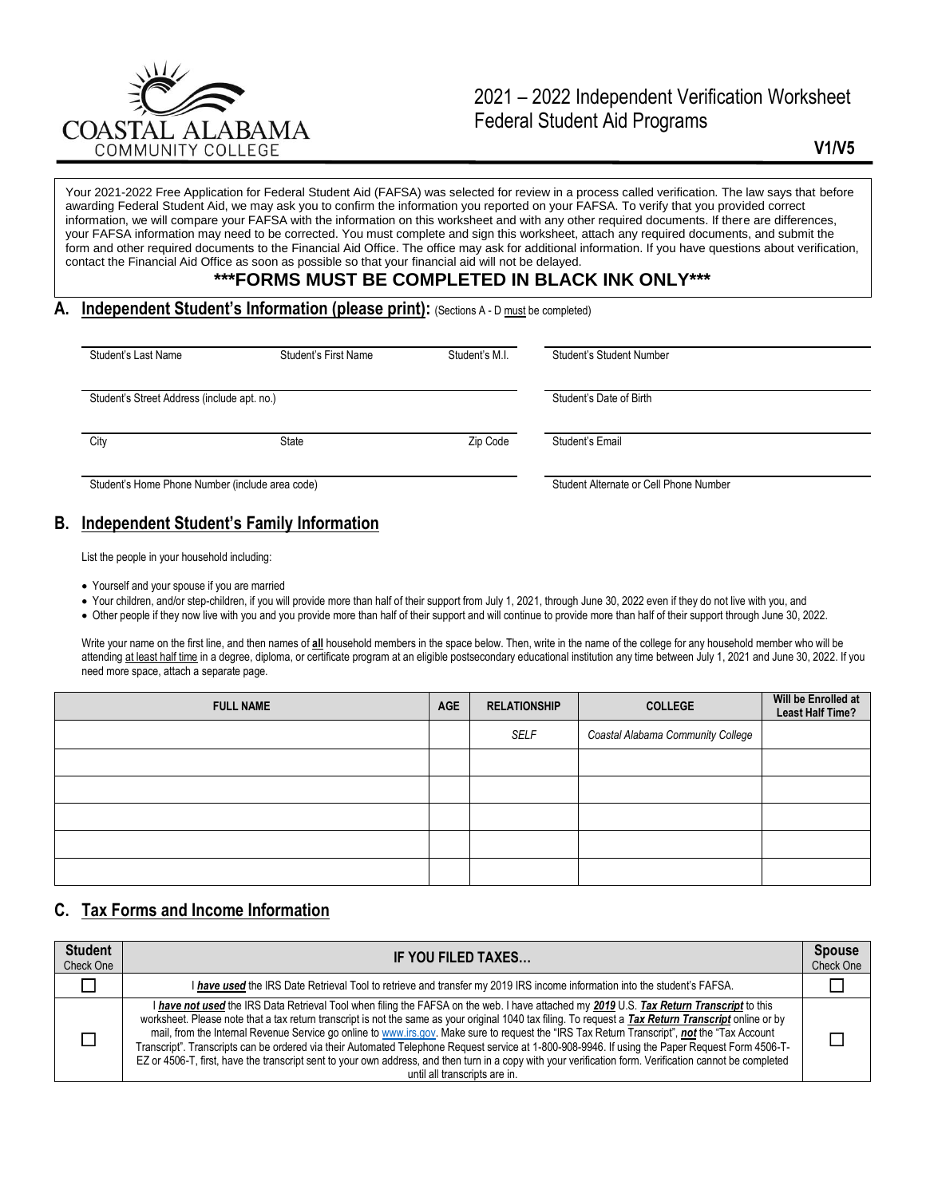

# 2021 – 2022 Independent Verification Worksheet Federal Student Aid Programs

**V1/V5**

Your 2021-2022 Free Application for Federal Student Aid (FAFSA) was selected for review in a process called verification. The law says that before awarding Federal Student Aid, we may ask you to confirm the information you reported on your FAFSA. To verify that you provided correct information, we will compare your FAFSA with the information on this worksheet and with any other required documents. If there are differences, your FAFSA information may need to be corrected. You must complete and sign this worksheet, attach any required documents, and submit the form and other required documents to the Financial Aid Office. The office may ask for additional information. If you have questions about verification, contact the Financial Aid Office as soon as possible so that your financial aid will not be delayed.

#### **\*\*\*FORMS MUST BE COMPLETED IN BLACK INK ONLY\*\*\***

#### **A. Independent Student's Information (please print):** (Sections A - D must be completed)

| Student's Last Name                             | Student's First Name | Student's M.I. | Student's Student Number               |  |
|-------------------------------------------------|----------------------|----------------|----------------------------------------|--|
|                                                 |                      |                |                                        |  |
| Student's Street Address (include apt. no.)     |                      |                | Student's Date of Birth                |  |
|                                                 |                      |                |                                        |  |
| City                                            | State                | Zip Code       | Student's Email                        |  |
|                                                 |                      |                |                                        |  |
| Student's Home Phone Number (include area code) |                      |                | Student Alternate or Cell Phone Number |  |

## **B. Independent Student's Family Information**

List the people in your household including:

- Yourself and your spouse if you are married
- Your children, and/or step-children, if you will provide more than half of their support from July 1, 2021, through June 30, 2022 even if they do not live with you, and
- Other people if they now live with you and you provide more than half of their support and will continue to provide more than half of their support through June 30, 2022.

Write your name on the first line, and then names of **all** household members in the space below. Then, write in the name of the college for any household member who will be attending at least half time in a degree, diploma, or certificate program at an eligible postsecondary educational institution any time between July 1, 2021 and June 30, 2022. If you need more space, attach a separate page.

| <b>FULL NAME</b> | <b>AGE</b> | <b>RELATIONSHIP</b> | <b>COLLEGE</b>                    | Will be Enrolled at<br><b>Least Half Time?</b> |
|------------------|------------|---------------------|-----------------------------------|------------------------------------------------|
|                  |            | SELF                | Coastal Alabama Community College |                                                |
|                  |            |                     |                                   |                                                |
|                  |            |                     |                                   |                                                |
|                  |            |                     |                                   |                                                |
|                  |            |                     |                                   |                                                |
|                  |            |                     |                                   |                                                |

## **C. Tax Forms and Income Information**

| <b>Student</b><br>Check One | IF YOU FILED TAXES                                                                                                                                                                                                                                                                                                                                                                                                                                                                                                                                                                                                                                                                                                                                                                                 | <b>Spouse</b><br>Check One |
|-----------------------------|----------------------------------------------------------------------------------------------------------------------------------------------------------------------------------------------------------------------------------------------------------------------------------------------------------------------------------------------------------------------------------------------------------------------------------------------------------------------------------------------------------------------------------------------------------------------------------------------------------------------------------------------------------------------------------------------------------------------------------------------------------------------------------------------------|----------------------------|
|                             | I have used the IRS Date Retrieval Tool to retrieve and transfer my 2019 IRS income information into the student's FAFSA.                                                                                                                                                                                                                                                                                                                                                                                                                                                                                                                                                                                                                                                                          |                            |
|                             | I have not used the IRS Data Retrieval Tool when filing the FAFSA on the web. I have attached my 2019 U.S. Tax Return Transcript to this<br>worksheet. Please note that a tax return transcript is not the same as your original 1040 tax filing. To request a Tax Return Transcript online or by<br>mail, from the Internal Revenue Service go online to www.irs.gov. Make sure to request the "IRS Tax Return Transcript", not the "Tax Account<br>Transcript". Transcripts can be ordered via their Automated Telephone Request service at 1-800-908-9946. If using the Paper Request Form 4506-T-<br>EZ or 4506-T, first, have the transcript sent to your own address, and then turn in a copy with your verification form. Verification cannot be completed<br>until all transcripts are in. |                            |